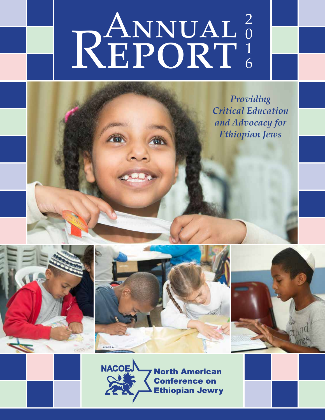# RANNUAL<sup>2</sup> 0 1 6

*Providing Critical Education and Advocacy for Ethiopian Jews*









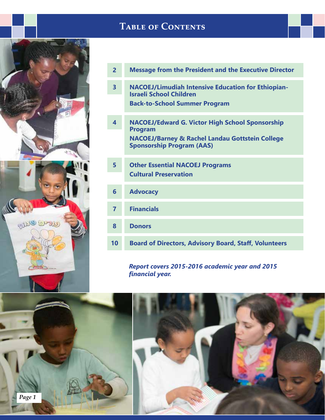

# **Table of Contents**

| $\overline{2}$          | <b>Message from the President and the Executive Director</b>                                                                                                               |
|-------------------------|----------------------------------------------------------------------------------------------------------------------------------------------------------------------------|
| $\overline{\mathbf{3}}$ | <b>NACOEJ/Limudiah Intensive Education for Ethiopian-</b><br><b>Israeli School Children</b><br><b>Back-to-School Summer Program</b>                                        |
| $\overline{\mathbf{4}}$ | <b>NACOEJ/Edward G. Victor High School Sponsorship</b><br><b>Program</b><br><b>NACOEJ/Barney &amp; Rachel Landau Gottstein College</b><br><b>Sponsorship Program (AAS)</b> |
| 5                       | <b>Other Essential NACOEJ Programs</b><br><b>Cultural Preservation</b>                                                                                                     |
| 6                       | <b>Advocacy</b>                                                                                                                                                            |
| $\overline{7}$          | <b>Financials</b>                                                                                                                                                          |
| 8                       | <b>Donors</b>                                                                                                                                                              |
| 10                      | <b>Board of Directors, Advisory Board, Staff, Volunteers</b>                                                                                                               |

*Report covers 2015-2016 academic year and 2015 financial year.*

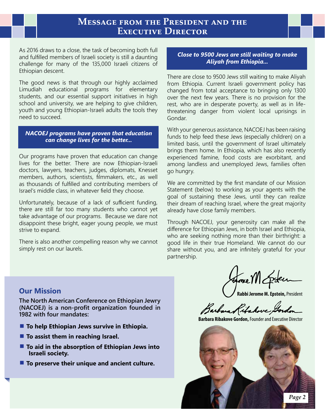### **Message from the President and the Executive Director**

As 2016 draws to a close, the task of becoming both full and fulfilled members of Israeli society is still a daunting challenge for many of the 135,000 Israeli citizens of Ethiopian descent.

The good news is that through our highly acclaimed Limudiah educational programs for elementary students, and our essential support initiatives in high school and university, we are helping to give children, youth and young Ethiopian-Israeli adults the tools they need to succeed.

*NACOEJ programs have proven that education can change lives for the better...*

Our programs have proven that education can change lives for the better. There are now Ethiopian-Israeli doctors, lawyers, teachers, judges, diplomats, Knesset members, authors, scientists, filmmakers, etc., as well as thousands of fulfilled and contributing members of Israel's middle class, in whatever field they choose.

Unfortunately, because of a lack of sufficient funding, there are still far too many students who cannot yet take advantage of our programs. Because we dare not disappoint these bright, eager young people, we must strive to expand.

There is also another compelling reason why we cannot simply rest on our laurels.

#### *Close to 9500 Jews are still waiting to make Aliyah from Ethiopia...*

There are close to 9500 Jews still waiting to make Aliyah from Ethiopia. Current Israeli government policy has changed from total acceptance to bringing only 1300 over the next few years. There is no provision for the rest, who are in desperate poverty, as well as in lifethreatening danger from violent local uprisings in Gondar.

With your generous assistance, NACOEJ has been raising funds to help feed these Jews (especially children) on a limited basis, until the government of Israel ultimately brings them home. In Ethiopia, which has also recently experienced famine, food costs are exorbitant, and among landless and unemployed Jews, families often go hungry.

We are committed by the first mandate of our Mission Statement (below) to working as your agents with the goal of sustaining these Jews, until they can realize their dream of reaching Israel, where the great majority already have close family members.

Through NACOEJ, your generosity can make all the difference for Ethiopian Jews, in both Israel and Ethiopia, who are seeking nothing more than their birthright: a good life in their true Homeland. We cannot do our share without you, and are infinitely grateful for your partnership.

### **Our Mission**

**The North American Conference on Ethiopian Jewry (NACOEJ) is a non-profit organization founded in 1982 with four mandates:**

- **To help Ethiopian Jews survive in Ethiopia.**
- **▪ To assist them in reaching Israel.**
- **To aid in the absorption of Ethiopian Jews into Israeli society.**
- **▪ To preserve their unique and ancient culture.**

Hove Mc

**Rabbi Jerome M. Epstein,** President

Barbara Kitakove Gordon

**Barbara Ribakove Gordon,** Founder and Executive Director

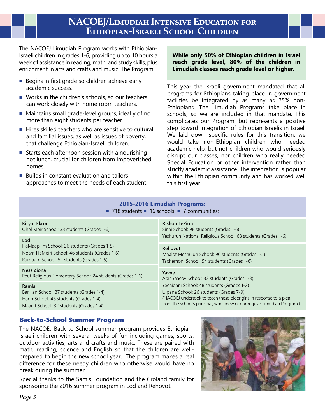# **NACOEJ/Limudiah Intensive Education for Ethiopian-Israeli School Children**

The NACOEJ Limudiah Program works with Ethiopian-Israeli children in grades 1-6, providing up to 10 hours a week of assistance in reading, math, and study skills, plus enrichment in arts and crafts and music. The Program:

- Begins in first grade so children achieve early academic success.
- Works in the children's schools, so our teachers can work closely with home room teachers.
- Maintains small grade-level groups, ideally of no more than eight students per teacher.
- Hires skilled teachers who are sensitive to cultural and familial issues, as well as issues of poverty, that challenge Ethiopian-Israeli children.
- Starts each afternoon session with a nourishing hot lunch, crucial for children from impoverished homes.
- Builds in constant evaluation and tailors approaches to meet the needs of each student.

#### **While only 50% of Ethiopian children in Israel reach grade level, 80% of the children in Limudiah classes reach grade level or higher.**

This year the Israeli government mandated that all programs for Ethiopians taking place in government facilities be integrated by as many as 25% non-Ethiopians. The Limudiah Programs take place in schools, so we are included in that mandate. This complicates our Program, but represents a positive step toward integration of Ethiopian Israelis in Israel. We laid down specific rules for this transition: we would take non-Ethiopian children who needed academic help, but not children who would seriously disrupt our classes, nor children who really needed Special Education or other intervention rather than strictly academic assistance. The integration is popular within the Ethiopian community and has worked well this first year.

#### **2015-2016 Limudiah Programs:**  ■ 718 students ■ 16 schools ■ 7 communities:

| Kiryat Ekron<br>Ohel Meir School: 38 students (Grades 1-6)                                                                              | <b>Rishon LeZion</b><br>Sinai School: 98 students (Grades 1-6)<br>Yeshurun National Religious School: 68 students (Grades 1-6)<br>Rehovot<br>Maalot Meshulun School: 90 students (Grades 1-5)<br>Tachemoni School: 54 students (Grades 1-6)<br>Yavne<br>Abir Yaacov School: 33 students (Grades 1-3) |  |  |
|-----------------------------------------------------------------------------------------------------------------------------------------|------------------------------------------------------------------------------------------------------------------------------------------------------------------------------------------------------------------------------------------------------------------------------------------------------|--|--|
| Lod<br>HaMaapilim School: 26 students (Grades 1-5)<br>Noam HaMeiri School: 46 students (Grades 1-6)                                     |                                                                                                                                                                                                                                                                                                      |  |  |
| Rambam School: 52 students (Grades 1-5)                                                                                                 |                                                                                                                                                                                                                                                                                                      |  |  |
| Ness Ziona<br>Reut Religious Elementary School: 24 students (Grades 1-6)                                                                |                                                                                                                                                                                                                                                                                                      |  |  |
| Ramla<br>Bar Ilan School: 37 students (Grades 1-4)<br>Harin School: 46 students (Grades 1-4)<br>Maanit School: 32 students (Grades 1-4) | Yechidani School: 48 students (Grades 1-2)<br>Ulpana School: 26 students (Grades 7-9)<br>(NACOEJ undertook to teach these older girls in response to a plea<br>from the school's principal, who knew of our regular Limudiah Program.)                                                               |  |  |

### Back-to-School Summer Program

The NACOEJ Back-to-School summer program provides Ethiopian-Israeli children with several weeks of fun including games, sports, outdoor activities, arts and crafts and music. These are paired with math, reading, science and English so that the children are wellprepared to begin the new school year. The program makes a real difference for these needy children who otherwise would have no break during the summer.

Special thanks to the Samis Foundation and the Croland family for sponsoring the 2016 summer program in Lod and Rehovot.

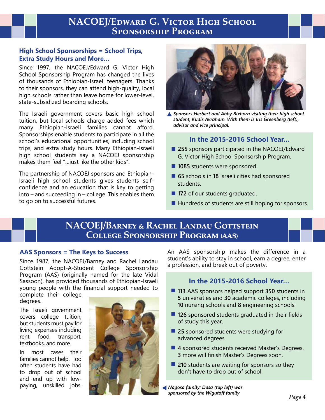# **NACOEJ/Edward G. Victor High School Sponsorship Program**

### **High School Sponsorships = School Trips, Extra Study Hours and More…**

Since 1997, the NACOEJ/Edward G. Victor High School Sponsorship Program has changed the lives of thousands of Ethiopian-Israeli teenagers. Thanks to their sponsors, they can attend high-quality, local high schools rather than leave home for lower-level, state-subsidized boarding schools.

The Israeli government covers basic high school tuition, but local schools charge added fees which many Ethiopian-Israeli families cannot afford. Sponsorships enable students to participate in all the school's educational opportunities, including school trips, and extra study hours. Many Ethiopian-Israeli high school students say a NACOEJ sponsorship makes them feel "…just like the other kids".

The partnership of NACOEJ sponsors and Ethiopian-Israeli high school students gives students selfconfidence and an education that is key to getting into – and succeeding in – college. This enables them to go on to successful futures.



*Sponsors Herbert and Abby Bixhorn visiting their high school student, Kudis Avraham. With them is Iris Greenberg (left), advisor and vice principal.*

### **In the 2015-2016 School Year…**

- 255 sponsors participated in the NACOEJ/Edward G. Victor High School Sponsorship Program.
- **1085** students were sponsored.
- 65 schools in 18 Israeli cities had sponsored students.
- 172 of our students graduated.
- Hundreds of students are still hoping for sponsors.

# **NACOEJ/Barney & Rachel Landau Gottstein College Sponsorship Program (aas)**

### **AAS Sponsors = The Keys to Success**

Since 1987, the NACOEJ/Barney and Rachel Landau Gottstein Adopt-A-Student College Sponsorship Program (AAS) (originally named for the late Vidal Sassoon), has provided thousands of Ethiopian-Israeli young people with the financial support needed to

complete their college degrees.

The Israeli government covers college tuition, but students must pay for living expenses including rent, food, transport, textbooks, and more.

In most cases their families cannot help. Too often students have had to drop out of school and end up with lowpaying, unskilled jobs.



An AAS sponsorship makes the difference in a student's ability to stay in school, earn a degree, enter a profession, and break out of poverty.

### **In the 2015-2016 School Year…**

- 113 AAS sponsors helped support 350 students in **5** universities and **30** academic colleges, including **10** nursing schools and **8** engineering schools.
- **126** sponsored students graduated in their fields of study this year.
- 25 sponsored students were studying for advanced degrees.
- 4 sponsored students received Master's Degrees. **3** more will finish Master's Degrees soon.
- 210 students are waiting for sponsors so they don't have to drop out of school.

*Nagosa family: Dasa (top left) was sponsored by the Wigutoff family*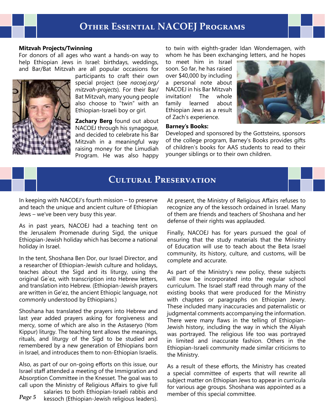# **Other Essential NACOEJ Programs**

#### **Mitzvah Projects/Twinning**

For donors of all ages who want a hands-on way to help Ethiopian Jews in Israel: birthdays, weddings, and Bar/Bat Mitzvah are all popular occasions for



participants to craft their own special project (see *nacoej.org/ mitzvah-projects*). For their Bar/ Bat Mitzvah, many young people also choose to "twin" with an Ethiopian-Israeli boy or girl.

**Zachary Berg** found out about NACOEJ through his synagogue, and decided to celebrate his Bar Mitzvah in a meaningful way raising money for the Limudiah Program. He was also happy to twin with eighth-grader Idan Wondemagen, with whom he has been exchanging letters, and he hopes

to meet him in Israel soon. So far, he has raised over \$40,000 by including a personal note about NACOEJ in his Bar Mitzvah invitation! The whole family learned about Ethiopian Jews as a result of Zach's experience.



#### **Barney's Books:**

Developed and sponsored by the Gottsteins, sponsors of the college program, Barney's Books provides gifts of children's books for AAS students to read to their younger siblings or to their own children.

# **Cultural Preservation**

In keeping with NACOEJ's fourth mission – to preserve and teach the unique and ancient culture of Ethiopian Jews – we've been very busy this year.

As in past years, NACOEJ had a teaching tent on the Jerusalem Promenade during Sigd, the unique Ethiopian-Jewish holiday which has become a national holiday in Israel.

In the tent, Shoshana Ben Dor, our Israel Director, and a researcher of Ethiopian-Jewish culture and holidays, teaches about the Sigd and its liturgy, using the original Ge`ez, with transcription into Hebrew letters, and translation into Hebrew. (Ethiopian-Jewish prayers are written in Ge'ez, the ancient Ethiopic language, not commonly understood by Ethiopians.)

Shoshana has translated the prayers into Hebrew and last year added prayers asking for forgiveness and mercy, some of which are also in the Astaseryo (Yom Kippur) liturgy. The teaching tent allows the meanings, rituals, and liturgy of the Sigd to be studied and remembered by a new generation of Ethiopians born in Israel, and introduces them to non-Ethiopian Israelis.

Also, as part of our on-going efforts on this issue, our Israel staff attended a meeting of the Immigration and Absorption Committee in the Knesset. The goal was to call upon the Ministry of Religious Affairs to give full

*Page 5* salaries to both Ethiopian-Israeli rabbis and kessoch (Ethiopian-Jewish religious leaders).

At present, the Ministry of Religious Affairs refuses to recognize any of the kessoch ordained in Israel. Many of them are friends and teachers of Shoshana and her defense of their rights was applauded.

Finally, NACOEJ has for years pursued the goal of ensuring that the study materials that the Ministry of Education will use to teach about the Beta Israel community, its history, culture, and customs, will be complete and accurate.

As part of the Ministry's new policy, these subjects will now be incorporated into the regular school curriculum. The Israel staff read through many of the existing books that were produced for the Ministry with chapters or paragraphs on Ethiopian Jewry. These included many inaccuracies and paternalistic or judgmental comments accompanying the information. There were many flaws in the telling of Ethiopian-Jewish history, including the way in which the Aliyah was portrayed. The religious life too was portrayed in limited and inaccurate fashion. Others in the Ethiopian-Israeli community made similar criticisms to the Ministry.

As a result of these efforts, the Ministry has created a special committee of experts that will rewrite all subject matter on Ethiopian Jews to appear in curricula for various age groups. Shoshana was appointed as a member of this special committee.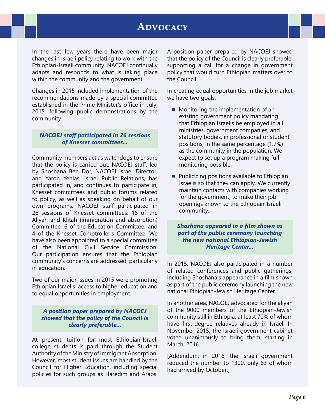# **Advocacy**

In the last few years there have been major changes in Israeli policy relating to work with the Ethiopian-Israeli community. NACOEJ continually adapts and responds to what is taking place within the community and the government.

Changes in 2015 included implementation of the recommendations made by a special committee established in the Prime Minister's office in July, 2015, following public demonstrations by the community.

#### *NACOEJ staff participated in 26 sessions of Knesset committees...*

Community members act as watchdogs to ensure that the policy is carried out. NACOEJ staff, led by Shoshana Ben Dor, NACOEJ Israel Director, and Yaron Yehias, Israel Public Relations, has participated in, and continues to participate in, Knesset committees and public forums related to policy, as well as speaking on behalf of our own programs. NACOEJ staff participated in 26 sessions of Knesset committees: 16 of the Aliyah and Klitah (immigration and absorption) Committee, 6 of the Education Committee, and 4 of the Knesset Comptroller's Committee. We have also been appointed to a special committee of the National Civil Service Commission. Our participation ensures that the Ethiopian community's concerns are addressed, particularly in education.

Two of our major issues in 2015 were promoting Ethiopian Israelis' access to higher education and to equal opportunities in employment.

*A position paper prepared by NACOEJ showed that the policy of the Council is clearly preferable...*

At present, tuition for most Ethiopian-Israeli college students is paid through the Student Authority of the Ministry of Immigrant Absorption. However, most student issues are handled by the Council for Higher Education, including special policies for such groups as Haredim and Arabs. A position paper prepared by NACOEJ showed that the policy of the Council is clearly preferable, supporting a call for a change in government policy that would turn Ethiopian matters over to the Council.

In creating equal opportunities in the job market we have two goals:

- Monitoring the implementation of an existing government policy mandating that Ethiopian Israelis be employed in all ministries, government companies, and statutory bodies, in professional or student positions, in the same percentage (1.7%) as the community in the population. We expect to set up a program making full monitoring possible.
- Publicizing positions available to Ethiopian Israelis so that they can apply. We currently maintain contacts with companies working for the government, to make their job openings known to the Ethiopian-Israeli community.

*Shoshana appeared in a film shown as part of the public ceremony launching the new national Ethiopian-Jewish Heritage Center...*

In 2015, NACOEJ also participated in a number of related conferences and public gatherings, including Shoshana's appearance in a film shown as part of the public ceremony launching the new national Ethiopian-Jewish Heritage Center.

In another area, NACOEJ advocated for the aliyah of the 9000 members of the Ethiopian-Jewish community still in Ethiopia, at least 70% of whom have first-degree relatives already in Israel. In November 2015, the Israeli government cabinet voted unanimously to bring them, starting in March, 2016.

[Addendum: in 2016, the Israeli government reduced the number to 1300, only 63 of whom had arrived by October.]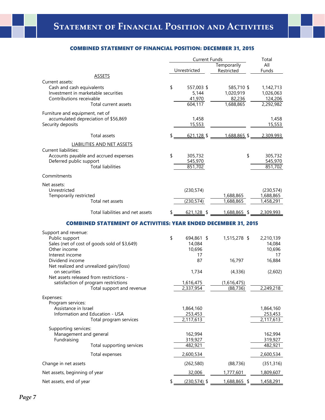#### COMBINED STATEMENT OF FINANCIAL POSITION: DECEMBER 31, 2015

|                                                                       | <b>Current Funds</b> |                | Total                     |              |
|-----------------------------------------------------------------------|----------------------|----------------|---------------------------|--------------|
|                                                                       |                      | Unrestricted   | Temporarily<br>Restricted | All<br>Funds |
| <b>ASSETS</b>                                                         |                      |                |                           |              |
| Current assets:                                                       |                      |                |                           |              |
| Cash and cash equivalents                                             | \$                   | 557,003 \$     | 585,710 \$                | 1,142,713    |
| Investment in marketable securities                                   |                      | 5,144          | 1,020,919                 | 1,026,063    |
| Contributions receivable                                              |                      | 41,970         | 82,236                    | 124,206      |
| Total current assets                                                  |                      | 604,117        | 1,688,865                 | 2,292,982    |
| Furniture and equipment, net of                                       |                      |                |                           |              |
| accumulated depreciation of \$56,869                                  |                      | 1,458          |                           | 1,458        |
| Security deposits                                                     |                      | 15,553         |                           | 15,553       |
| Total assets                                                          |                      | $621,128$ \$   | 1,688,865 \$              | 2,309,993    |
| LIABILITIES AND NET ASSETS                                            |                      |                |                           |              |
| <b>Current liabilities:</b>                                           |                      |                |                           |              |
| Accounts payable and accrued expenses                                 | \$                   | 305,732        | \$                        | 305,732      |
| Deferred public support                                               |                      | 545,970        |                           | 545,970      |
| <b>Total liabilities</b>                                              |                      | 851,702        |                           | 851,702      |
| Commitments                                                           |                      |                |                           |              |
| Net assets:                                                           |                      |                |                           |              |
| Unrestricted                                                          |                      | (230, 574)     |                           | (230, 574)   |
| Temporarily restricted                                                |                      |                | 1,688,865                 | 1,688,865    |
| Total net assets                                                      |                      | (230, 574)     | 1,688,865                 | 1,458,291    |
| Total liabilities and net assets                                      |                      | $621,128$ \$   | 1,688,865 \$              | 2,309,993    |
| <b>COMBINED STATEMENT OF ACTIVITIES: YEAR ENDED DECEMBER 31, 2015</b> |                      |                |                           |              |
| Support and revenue:                                                  |                      |                |                           |              |
| Public support                                                        | \$                   | 694,861 \$     | 1,515,278 \$              | 2,210,139    |
| Sales (net of cost of goods sold of \$3,649)                          |                      | 14,084         |                           | 14,084       |
| Other income                                                          |                      | 10,696         |                           | 10,696       |
| Interest income                                                       |                      | 17             |                           | 17           |
| Dividend income                                                       |                      | 87             | 16,797                    | 16,884       |
| Net realized and unrealized gain/(loss)                               |                      |                |                           |              |
| on securities                                                         |                      | 1,734          | (4, 336)                  | (2,602)      |
| Net assets released from restrictions -                               |                      |                |                           |              |
| satisfaction of program restrictions                                  |                      | 1,616,475      | (1,616,475)               |              |
| Total support and revenue                                             |                      | 2,337,954      | (88, 736)                 | 2,249,218    |
| Expenses:                                                             |                      |                |                           |              |
| Program services:                                                     |                      |                |                           |              |
| Assistance in Israel                                                  |                      | 1,864,160      |                           | 1,864,160    |
| Information and Education - USA                                       |                      | 253,453        |                           | 253,453      |
| Total program services                                                |                      | 2,117,613      |                           | 2,117,613    |
| Supporting services:                                                  |                      |                |                           |              |
| Management and general                                                |                      | 162,994        |                           | 162,994      |
| Fundraising                                                           |                      | 319,927        |                           | 319,927      |
| Total supporting services                                             |                      | 482,921        |                           | 482,921      |
| Total expenses                                                        |                      | 2,600,534      |                           | 2,600,534    |
| Change in net assets                                                  |                      | (262, 580)     | (88, 736)                 | (351, 316)   |
| Net assets, beginning of year                                         |                      | 32,006         | 1,777,601                 | 1,809,607    |
| Net assets, end of year                                               |                      | $(230,574)$ \$ | 1,688,865 \$              | 1,458,291    |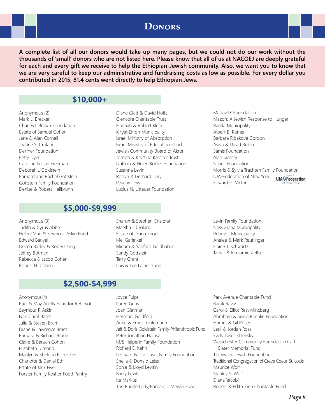## **Donors**

**A complete list of all our donors would take up many pages, but we could not do our work without the thousands of 'small' donors who are not listed here. Please know that all of us at NACOEJ are deeply grateful for each and every gift we receive to help the Ethiopian-Jewish community. Also, we want you to know that we are very careful to keep our administrative and fundraising costs as low as possible. For every dollar you contributed in 2015, 81.4 cents went directly to help Ethiopian Jews.**

### **\$10,000+**

Anonymous (2) Mark L. Brecker Charles I. Brown Foundation Estate of Samuel Cohen Jane & Alan Cornell Jeanne S. Croland Derfner Foundation Betty Dyer Caroline & Carl Freeman Deborah J. Goldstein Barnard and Rachel Gottstein Gottstein Family Foundation Denise & Robert Heilbrunn

### **\$5,000-\$9,999**

Anonymous (3) Judith & Cyrus Abbe Helen-Mae & Seymour Askin Fund Edward Banyai Deena Barlev & Robert King Jeffrey Botman Rebecca & Jacob Cohen Robert H. Cohen

Sharon & Stephen Cristofar Marsha J. Croland Estate of Diana Engel Mel Garfinkel Miriam & Sanford Goldhaber Sandy Gottstein Terry Grant Luis & Lee Lainer Fund

Diane Glatt & David Holtz Glencore Charitable Trust Hannah & Robert Klein Kiryat Ekron Municipality Israel Ministry of Absorption Israel Ministry of Education - Lod Jewish Community Board of Akron Joseph & Krystina Kassirer Trust Nathan & Helen Kohler Foundation

Susanna Levin

Peachy Levy

Roslyn & Gerhard Levy

Lucius N. Littauer Foundation

Madav IX Foundation Mazon: A Jewish Response to Hunger Ramla Municipality Albert B. Ratner Barbara Ribakove Gordon Aviva & David Rubin Samis Foundation Alan Sieroty Sobell Foundation Morris & Sylvia Trachten Family Foundation UJA-Federation of New York **UJA** Federation Edward G. Victor

Levin Family Foundation Ness Ziona Municipality Rehovot Municipality Analee & Mark Reutlinger Elaine T. Schwartz

Tamar & Benjamin Zeltser

### **\$2,500-\$4,999**

- Anonymous (4) and the state of the state of the Joyce Fulps Paul & May Arielly Fund for Rehovot Seymour R Askin Nan Carol Bases Julie & Steven Bram Diane & Lawrence Brant Barbara & Richard Braun Claire & Baruch Cohon Elizabeth Dimond Marilyn & Sheldon Estreicher Charlotte & Daniel Eth Estate of Jack Fivel Forster Family Kosher Food Pantry
	- Karen Gens Joan Glatman Herschel Goldfield Anne & Ernest Goldmann Jeff & Doris Goldstein Family Philanthropic Fund Peter Jonathan Halasz M/S Halperin Family Foundation Richard E. Kahn Leonard & Lois Laser Family Foundation Sheila & Donald Leiss Sonia & Lloyd Levitin Barry Levitt Ita Markus The Purple Lady/Barbara J. Meislin Fund
- Park Avenue Charitable Fund Barak Raviv Carol & Elliot Rest-Mincberg Abraham & Sonia Rochlin Foundation Harriet & Gil Rosen Lesli & Jordan Ross Evely Laser Shlensky Westchester Community Foundation Carl Slater Memorial Fund Tidewater Jewish Foundation Traditional Congregation of Creve Coeur, St. Louis Maurice Wolf Stanley S. Wulf Diana Yacobi Robert & Edith Zinn Charitable Fund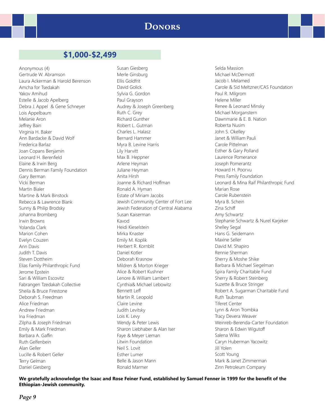### **Donors**

### **\$1,000-\$2,499**

Anonymous (4) Gertrude W. Abramson Laura Ackerman & Harold Berenson Amcha for Tsedakah Yakov Amihud Estelle & Jacob Apelberg Debra J. Appel & Gene Schneyer Lois Appelbaum Melanie Aron Jeffrey Bain Virginia H. Baker Ann Bardacke & David Wolf Frederica Barlaz Joan Copans Benjamin Leonard H. Berenfield Elaine & Irwin Berg Dennis Berman Family Foundation Gary Berman Vicki Berman Martin Bialer Martine & Mark Binstock Rebecca & Lawrence Blank Sunny & Philip Brodsky Johanna Bromberg Irwin Browns Yolanda Clark Marion Cohen Evelyn Couzen Ann Davis Judith T. Davis Steven Dottheim Elias Family Philanthropic Fund Jerome Epstein Sari & William Escovitz Fabrangen Tzedakah Collective Sheila & Bruce Firestone Deborah S. Freedman Alice Friedman Andrew Friedman Ina Friedman Zilpha & Joseph Friedman Emily & Mark Friedman Barbara A. Gaffin Ruth Gelfenbein Alan Geller Lucille & Robert Geller Terry Gelman Daniel Giesberg

Susan Giesberg Merle Ginsburg Ellis Goldfrit David Golick Sylvia G. Gordon Paul Grayson Audrey & Joseph Greenberg Ruth C. Grey Richard Gunther Robert L. Gutman Charles L. Halasz Bernard Hammer Myra B. Levine Harris Lily Harvitt Max B. Heppner Arlene Heyman Juliane Heyman Anita Hirsh Joanne & Richard Hoffman Ronald A. Hyman Estate of Miriam Jacobs Jewish Community Center of Fort Lee Jewish Federation of Central Alabama Susan Kaiserman Kavod Heidi Kieselstein Mirka Knaster Emily M. Koplik Herbert R. Kornblit Daniel Kotler Deborah Krasnow Mildren & Morton Krieger Alice & Robert Kushner Lenore & William Lambert Cynthia& Michael Lebowitz Bennett Leff Martin R. Leopold Claire Levine Judith Levitsky Lois K. Levy Wendy & Peter Lewis Sharon Liebhaber & Alan Iser Faye & Meyer Lieman Litwin Foundation Neil S. Lovit Esther Lumer Belle & Jason Mann Ronald Marmer

Selda Massion Michael McDermott Jacob I. Melamed Carole & Sid Meltzner/CAS Foundation Paul R. Milgrom Helene Miller Renee & Leonard Minsky Michael Morganstern Dawnmarie & E. B. Nation Roberta Nusim John S. Okelley Janet & William Pauli Carole Pittelman Esther & Gary Polland Laurence Pomerance Joseph Pomerantz Howard H. Poorvu Press Family Foundation Leonard & Mina Raif Philanthropic Fund Marian Rose Carole Rubenstein Myra B. Schein Zina Schiff Amy Schwartz Stephanie Schwartz & Nurel Karjeker Shelley Segal Hans G. Seidemann Maxine Seller David M. Shapiro Rennie Sherman Sherry & Moshe Shike Barbara & Michael Siegelman Spira Family Charitable Fund Sherry & Robert Steinberg Suzette & Bruce Stringer Robert A. Sugarman Charitable Fund Ruth Taubman Tiferet Center Lynn & Aron Trombka Tracy Devera Weaver Weinreb-Berenda-Carter Foundation Sharon & Edwin Wigutoff Salena Wilks Caryn Huberman Yacowitz Jill Yolen Scott Young Mark & Janet Zimmerman Zinn Petroleum Company

**We gratefully acknowledge the Isaac and Rose Feiner Fund, established by Samuel Fenner in 1999 for the benefit of the Ethiopian-Jewish community.**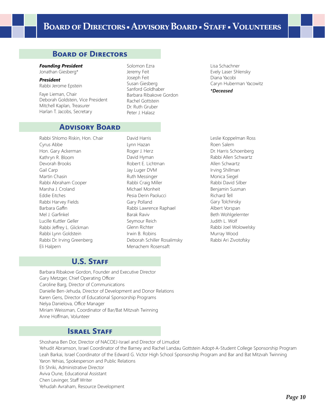# **Board of Directors ▪ Advisory Board ▪ Staff ▪ Volunteers**

### **Board of Directors**

#### *Founding President*

Jonathan Giesberg\*

*President* Rabbi Jerome Epstein

Faye Lieman, Chair Deborah Goldstein, Vice President Mitchell Kaplan, Treasurer Harlan T. Jacobs, Secretary

### **Advisory Board**

Rabbi Shlomo Riskin, Hon. Chair Cyrus Abbe Hon. Gary Ackerman Kathryn R. Bloom Devorah Brooks Gail Carp Martin Chasin Rabbi Abraham Cooper Marsha J. Croland Eddie Eitches Rabbi Harvey Fields Barbara Gaffin Mel J. Garfinkel Lucille Kuttler Geller Rabbi Jeffrey L. Glickman Rabbi Lynn Goldstein Rabbi Dr. Irving Greenberg Eli Halpern

Solomon Ezra Jeremy Feit Joseph Feit Susan Giesberg Sanford Goldhaber Barbara Ribakove Gordon Rachel Gottstein Dr. Ruth Gruber Peter J. Halasz

Lisa Schachner Evely Laser Shlensky Diana Yacobi Caryn Huberman Yacowitz

*\*Deceased*

David Harris Lynn Hazan Roger J. Herz David Hyman Robert E. Lichtman Jay Luger DVM Ruth Messinger Rabbi Craig Miller Michael Monheit Pesia Derin Paolucci Gary Polland Rabbi Lawrence Raphael Barak Raviv Seymour Reich Glenn Richter Irwin B. Robins Deborah Schiller Rosalimsky Menachem Rosensaft

Leslie Koppelman Ross Roen Salem Dr. Harris Schoenberg Rabbi Allen Schwartz Allen Schwartz Irving Shillman Monica Siegel Rabbi David Silber Benjamin Susman Richard Tell Gary Tolchinsky Albert Vorspan Beth Wohlgelernter Judith L. Wolf Rabbi Joel Wolowelsky Murray Wood Rabbi Ari Zivotofsky

### U.S. STAFF

Barbara Ribakove Gordon, Founder and Executive Director Gary Metzger, Chief Operating Officer Caroline Barg, Director of Communications Danielle Ben-Jehuda, Director of Development and Donor Relations Karen Gens, Director of Educational Sponsorship Programs Nelya Danielova, Office Manager Miriam Weissman, Coordinator of Bar/Bat Mitzvah Twinning Anne Hoffman, Volunteer

### **ISRAEL STAFF**

Shoshana Ben Dor, Director of NACOEJ-Israel and Director of Limudiot Yehudit Abramson, Israel Coordinator of the Barney and Rachel Landau Gottstein Adopt-A-Student College Sponsorship Program Leah Barkai, Israel Coordinator of the Edward G. Victor High School Sponsorship Program and Bar and Bat Mitzvah Twinning Yaron Yehias, Spokesperson and Public Relations Eti Shriki, Administrative Director Aviva Oune, Educational Assistant Chen Levinger, Staff Writer Yehudah Avraham, Resource Development